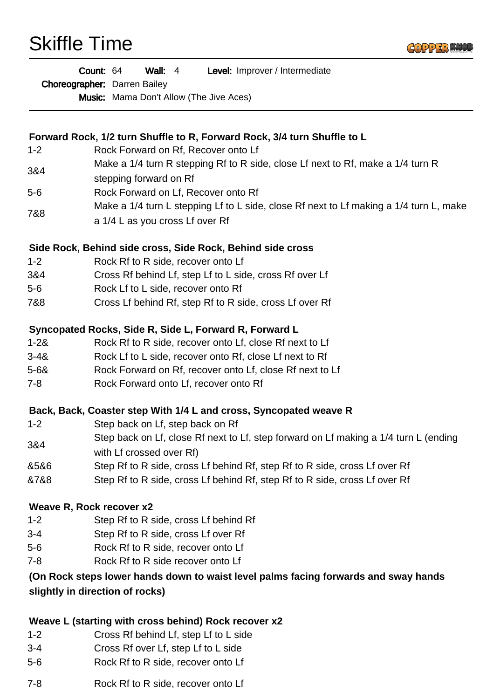Skiffle Time



|                                 | Level: Improver / Intermediate<br>Count: 64<br><b>Wall:</b> $4$<br>Choreographer: Darren Bailey<br><b>Music:</b> Mama Don't Allow (The Jive Aces) |
|---------------------------------|---------------------------------------------------------------------------------------------------------------------------------------------------|
|                                 |                                                                                                                                                   |
|                                 | Forward Rock, 1/2 turn Shuffle to R, Forward Rock, 3/4 turn Shuffle to L                                                                          |
| $1 - 2$                         | Rock Forward on Rf, Recover onto Lf                                                                                                               |
| 3&4                             | Make a 1/4 turn R stepping Rf to R side, close Lf next to Rf, make a 1/4 turn R<br>stepping forward on Rf                                         |
| $5-6$                           | Rock Forward on Lf, Recover onto Rf                                                                                                               |
| 7&8                             | Make a 1/4 turn L stepping Lf to L side, close Rf next to Lf making a 1/4 turn L, make                                                            |
|                                 | a 1/4 L as you cross Lf over Rf                                                                                                                   |
|                                 | Side Rock, Behind side cross, Side Rock, Behind side cross                                                                                        |
| $1 - 2$                         | Rock Rf to R side, recover onto Lf                                                                                                                |
| 3&4                             | Cross Rf behind Lf, step Lf to L side, cross Rf over Lf                                                                                           |
| $5-6$                           | Rock Lf to L side, recover onto Rf                                                                                                                |
| 7&8                             | Cross Lf behind Rf, step Rf to R side, cross Lf over Rf                                                                                           |
|                                 | Syncopated Rocks, Side R, Side L, Forward R, Forward L                                                                                            |
| $1 - 28$                        | Rock Rf to R side, recover onto Lf, close Rf next to Lf                                                                                           |
| $3 - 48$                        | Rock Lf to L side, recover onto Rf, close Lf next to Rf                                                                                           |
| $5 - 68$                        | Rock Forward on Rf, recover onto Lf, close Rf next to Lf                                                                                          |
| 7-8                             | Rock Forward onto Lf, recover onto Rf                                                                                                             |
|                                 | Back, Back, Coaster step With 1/4 L and cross, Syncopated weave R                                                                                 |
| $1 - 2$                         | Step back on Lf, step back on Rf                                                                                                                  |
| 3&4                             | Step back on Lf, close Rf next to Lf, step forward on Lf making a 1/4 turn L (ending<br>with Lf crossed over Rf)                                  |
| 8586                            | Step Rf to R side, cross Lf behind Rf, step Rf to R side, cross Lf over Rf                                                                        |
| &7&8                            | Step Rf to R side, cross Lf behind Rf, step Rf to R side, cross Lf over Rf                                                                        |
|                                 | Weave R, Rock recover x2                                                                                                                          |
| $1 - 2$                         | Step Rf to R side, cross Lf behind Rf                                                                                                             |
| $3 - 4$                         | Step Rf to R side, cross Lf over Rf                                                                                                               |
| $5-6$                           | Rock Rf to R side, recover onto Lf                                                                                                                |
| $7 - 8$                         | Rock Rf to R side recover onto Lf                                                                                                                 |
|                                 | (On Rock steps lower hands down to waist level palms facing forwards and sway hands                                                               |
| slightly in direction of rocks) |                                                                                                                                                   |
|                                 |                                                                                                                                                   |
|                                 |                                                                                                                                                   |

## **Weave L (starting with cross behind) Rock recover x2**

- 1-2 Cross Rf behind Lf, step Lf to L side
- 3-4 Cross Rf over Lf, step Lf to L side
- 5-6 Rock Rf to R side, recover onto Lf
- 7-8 Rock Rf to R side, recover onto Lf